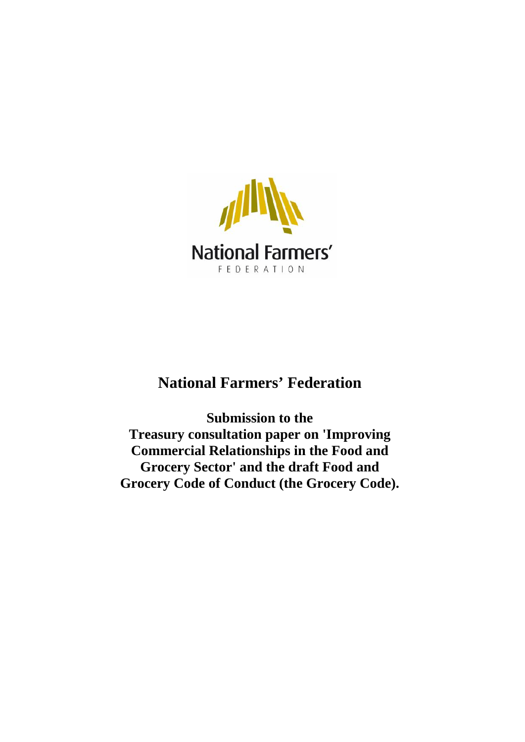

# **National Farmers' Federation**

 **Grocery Sector' and the draft Food and Grocery Code of Conduct (the Grocery Code). Submission to the Treasury consultation paper on 'Improving Commercial Relationships in the Food and**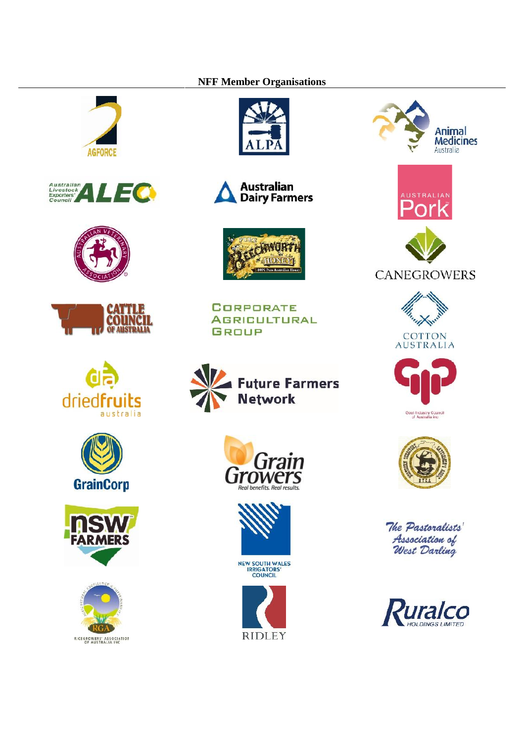#### **NFF Member Organisations**























**CORPORATE AGRICULTURAL GROUP** 





















The Pastoralists' Association of<br>West Darling

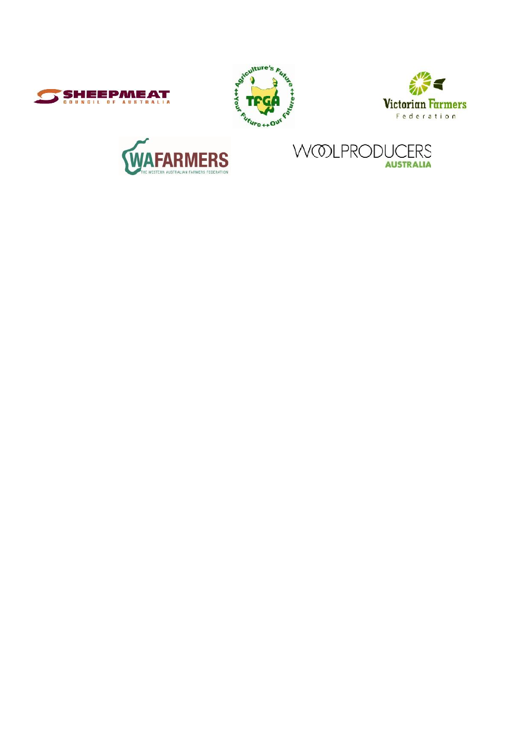







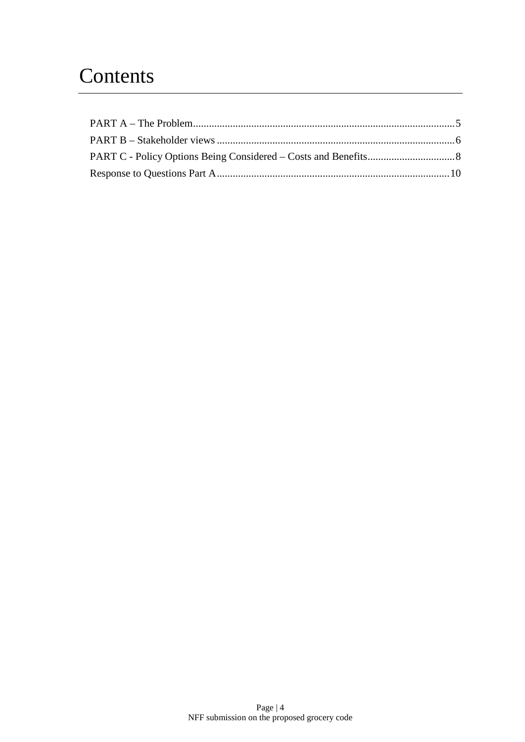# **Contents**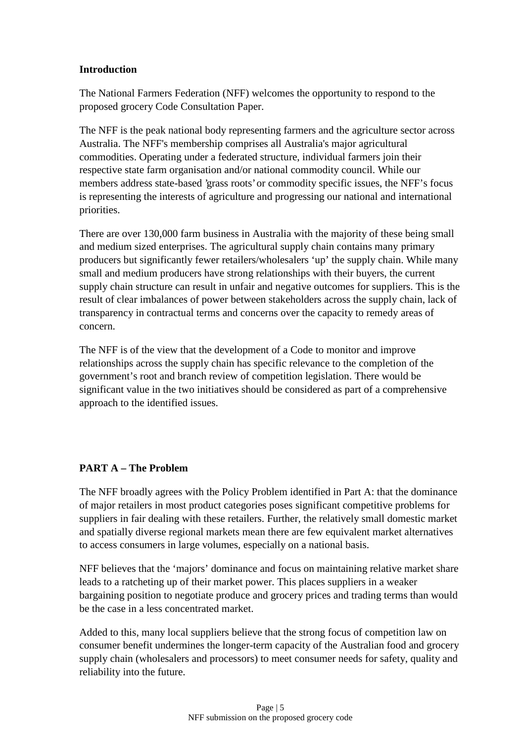#### **Introduction**

The National Farmers Federation (NFF) welcomes the opportunity to respond to the proposed grocery Code Consultation Paper.

The NFF is the peak national body representing farmers and the agriculture sector across Australia. The NFF's membership comprises all Australia's major agricultural commodities. Operating under a federated structure, individual farmers join their respective state farm organisation and/or national commodity council. While our members address state-based 'grass roots' or commodity specific issues, the NFF's focus is representing the interests of agriculture and progressing our national and international priorities.

There are over 130,000 farm business in Australia with the majority of these being small and medium sized enterprises. The agricultural supply chain contains many primary producers but significantly fewer retailers/wholesalers 'up' the supply chain. While many small and medium producers have strong relationships with their buyers, the current supply chain structure can result in unfair and negative outcomes for suppliers. This is the result of clear imbalances of power between stakeholders across the supply chain, lack of transparency in contractual terms and concerns over the capacity to remedy areas of concern.

The NFF is of the view that the development of a Code to monitor and improve relationships across the supply chain has specific relevance to the completion of the government's root and branch review of competition legislation. There would be significant value in the two initiatives should be considered as part of a comprehensive approach to the identified issues.

#### **PART A – The Problem**

The NFF broadly agrees with the Policy Problem identified in Part A: that the dominance of major retailers in most product categories poses significant competitive problems for suppliers in fair dealing with these retailers. Further, the relatively small domestic market and spatially diverse regional markets mean there are few equivalent market alternatives to access consumers in large volumes, especially on a national basis.

NFF believes that the 'majors' dominance and focus on maintaining relative market share leads to a ratcheting up of their market power. This places suppliers in a weaker bargaining position to negotiate produce and grocery prices and trading terms than would be the case in a less concentrated market.

Added to this, many local suppliers believe that the strong focus of competition law on consumer benefit undermines the longer-term capacity of the Australian food and grocery supply chain (wholesalers and processors) to meet consumer needs for safety, quality and reliability into the future.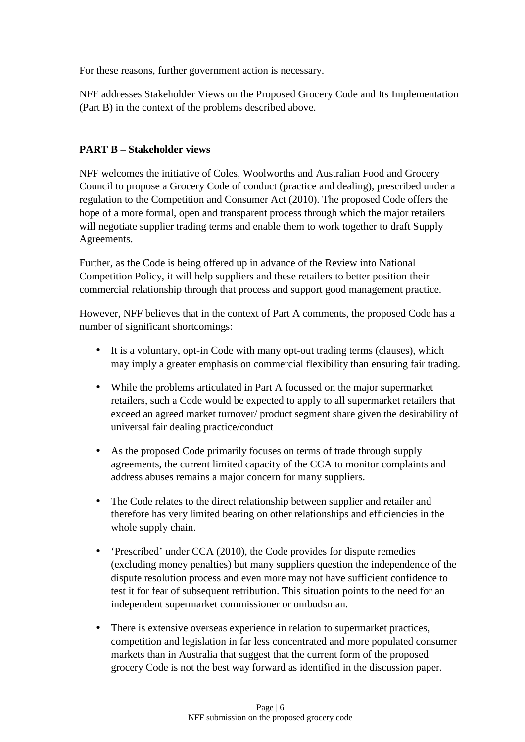For these reasons, further government action is necessary.

NFF addresses Stakeholder Views on the Proposed Grocery Code and Its Implementation (Part B) in the context of the problems described above.

# **PART B – Stakeholder views**

NFF welcomes the initiative of Coles, Woolworths and Australian Food and Grocery Council to propose a Grocery Code of conduct (practice and dealing), prescribed under a regulation to the Competition and Consumer Act (2010). The proposed Code offers the hope of a more formal, open and transparent process through which the major retailers will negotiate supplier trading terms and enable them to work together to draft Supply Agreements.

Further, as the Code is being offered up in advance of the Review into National Competition Policy, it will help suppliers and these retailers to better position their commercial relationship through that process and support good management practice.

However, NFF believes that in the context of Part A comments, the proposed Code has a number of significant shortcomings:

- It is a voluntary, opt-in Code with many opt-out trading terms (clauses), which may imply a greater emphasis on commercial flexibility than ensuring fair trading.
- While the problems articulated in Part A focussed on the major supermarket retailers, such a Code would be expected to apply to all supermarket retailers that exceed an agreed market turnover/ product segment share given the desirability of universal fair dealing practice/conduct
- As the proposed Code primarily focuses on terms of trade through supply agreements, the current limited capacity of the CCA to monitor complaints and address abuses remains a major concern for many suppliers.
- The Code relates to the direct relationship between supplier and retailer and therefore has very limited bearing on other relationships and efficiencies in the whole supply chain.
- 'Prescribed' under CCA (2010), the Code provides for dispute remedies (excluding money penalties) but many suppliers question the independence of the dispute resolution process and even more may not have sufficient confidence to test it for fear of subsequent retribution. This situation points to the need for an independent supermarket commissioner or ombudsman.
- There is extensive overseas experience in relation to supermarket practices, competition and legislation in far less concentrated and more populated consumer markets than in Australia that suggest that the current form of the proposed grocery Code is not the best way forward as identified in the discussion paper.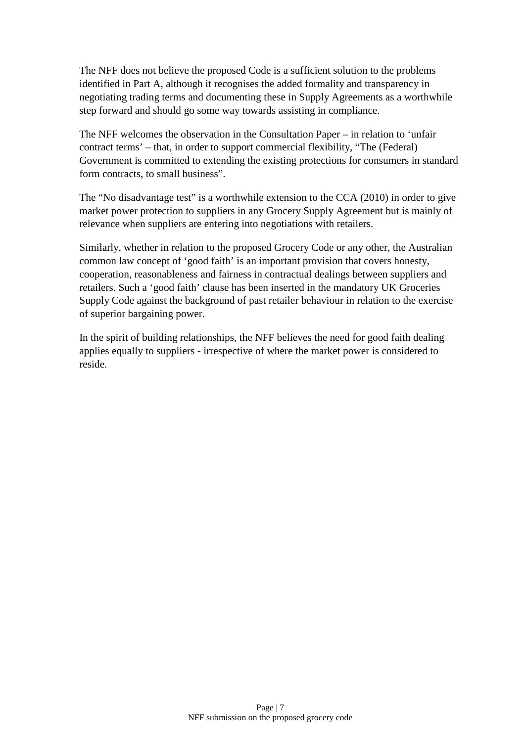The NFF does not believe the proposed Code is a sufficient solution to the problems identified in Part A, although it recognises the added formality and transparency in negotiating trading terms and documenting these in Supply Agreements as a worthwhile step forward and should go some way towards assisting in compliance.

The NFF welcomes the observation in the Consultation Paper – in relation to 'unfair contract terms' – that, in order to support commercial flexibility, "The (Federal) Government is committed to extending the existing protections for consumers in standard form contracts, to small business".

The "No disadvantage test" is a worthwhile extension to the CCA (2010) in order to give market power protection to suppliers in any Grocery Supply Agreement but is mainly of relevance when suppliers are entering into negotiations with retailers.

Similarly, whether in relation to the proposed Grocery Code or any other, the Australian common law concept of 'good faith' is an important provision that covers honesty, cooperation, reasonableness and fairness in contractual dealings between suppliers and retailers. Such a 'good faith' clause has been inserted in the mandatory UK Groceries Supply Code against the background of past retailer behaviour in relation to the exercise of superior bargaining power.

In the spirit of building relationships, the NFF believes the need for good faith dealing applies equally to suppliers - irrespective of where the market power is considered to reside.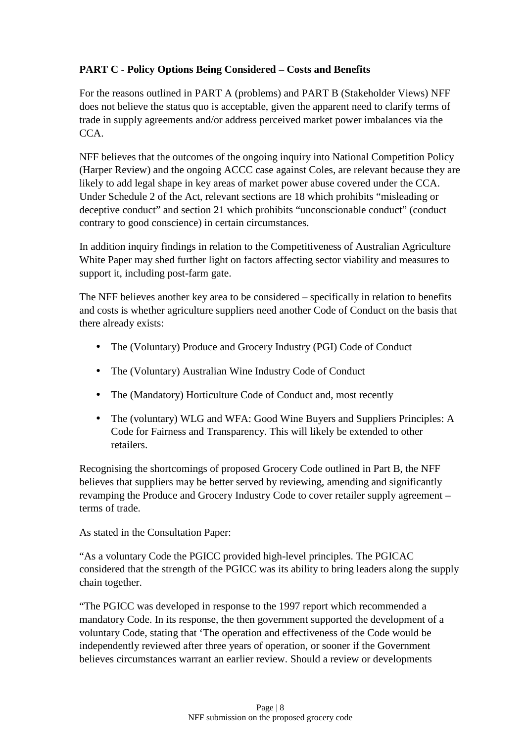# **PART C - Policy Options Being Considered – Costs and Benefits**

For the reasons outlined in PART A (problems) and PART B (Stakeholder Views) NFF does not believe the status quo is acceptable, given the apparent need to clarify terms of trade in supply agreements and/or address perceived market power imbalances via the CCA.

NFF believes that the outcomes of the ongoing inquiry into National Competition Policy (Harper Review) and the ongoing ACCC case against Coles, are relevant because they are likely to add legal shape in key areas of market power abuse covered under the CCA. Under Schedule 2 of the Act, relevant sections are 18 which prohibits "misleading or deceptive conduct" and section 21 which prohibits "unconscionable conduct" (conduct contrary to good conscience) in certain circumstances.

In addition inquiry findings in relation to the Competitiveness of Australian Agriculture White Paper may shed further light on factors affecting sector viability and measures to support it, including post-farm gate.

The NFF believes another key area to be considered – specifically in relation to benefits and costs is whether agriculture suppliers need another Code of Conduct on the basis that there already exists:

- The (Voluntary) Produce and Grocery Industry (PGI) Code of Conduct
- The (Voluntary) Australian Wine Industry Code of Conduct
- The (Mandatory) Horticulture Code of Conduct and, most recently
- The (voluntary) WLG and WFA: Good Wine Buyers and Suppliers Principles: A Code for Fairness and Transparency. This will likely be extended to other retailers.

Recognising the shortcomings of proposed Grocery Code outlined in Part B, the NFF believes that suppliers may be better served by reviewing, amending and significantly revamping the Produce and Grocery Industry Code to cover retailer supply agreement – terms of trade.

As stated in the Consultation Paper:

"As a voluntary Code the PGICC provided high-level principles. The PGICAC considered that the strength of the PGICC was its ability to bring leaders along the supply chain together.

"The PGICC was developed in response to the 1997 report which recommended a mandatory Code. In its response, the then government supported the development of a voluntary Code, stating that 'The operation and effectiveness of the Code would be independently reviewed after three years of operation, or sooner if the Government believes circumstances warrant an earlier review. Should a review or developments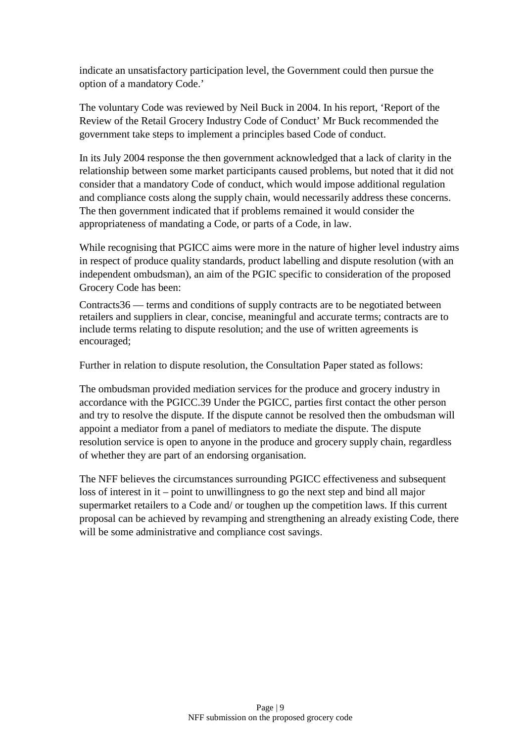indicate an unsatisfactory participation level, the Government could then pursue the option of a mandatory Code.'

The voluntary Code was reviewed by Neil Buck in 2004. In his report, 'Report of the Review of the Retail Grocery Industry Code of Conduct' Mr Buck recommended the government take steps to implement a principles based Code of conduct.

In its July 2004 response the then government acknowledged that a lack of clarity in the relationship between some market participants caused problems, but noted that it did not consider that a mandatory Code of conduct, which would impose additional regulation and compliance costs along the supply chain, would necessarily address these concerns. The then government indicated that if problems remained it would consider the appropriateness of mandating a Code, or parts of a Code, in law.

While recognising that PGICC aims were more in the nature of higher level industry aims in respect of produce quality standards, product labelling and dispute resolution (with an independent ombudsman), an aim of the PGIC specific to consideration of the proposed Grocery Code has been:

Contracts36 — terms and conditions of supply contracts are to be negotiated between retailers and suppliers in clear, concise, meaningful and accurate terms; contracts are to include terms relating to dispute resolution; and the use of written agreements is encouraged;

Further in relation to dispute resolution, the Consultation Paper stated as follows:

The ombudsman provided mediation services for the produce and grocery industry in accordance with the PGICC.39 Under the PGICC, parties first contact the other person and try to resolve the dispute. If the dispute cannot be resolved then the ombudsman will appoint a mediator from a panel of mediators to mediate the dispute. The dispute resolution service is open to anyone in the produce and grocery supply chain, regardless of whether they are part of an endorsing organisation.

The NFF believes the circumstances surrounding PGICC effectiveness and subsequent loss of interest in it – point to unwillingness to go the next step and bind all major supermarket retailers to a Code and/ or toughen up the competition laws. If this current proposal can be achieved by revamping and strengthening an already existing Code, there will be some administrative and compliance cost savings.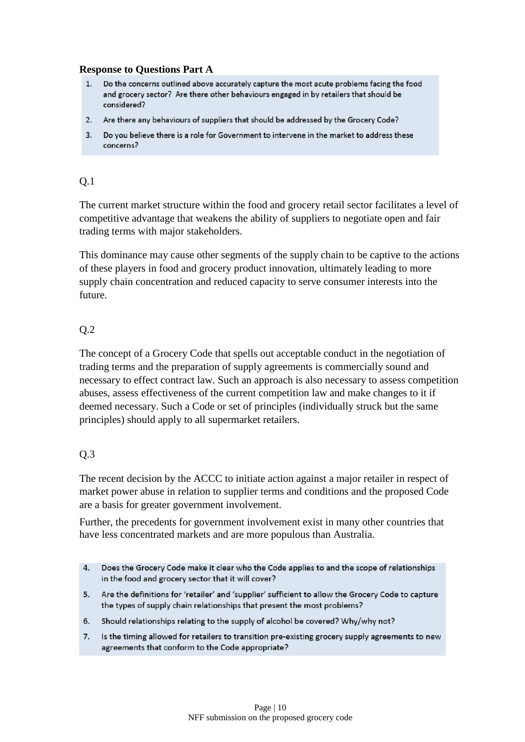#### **Response to Questions Part A**

- $1.$ Do the concerns outlined above accurately capture the most acute problems facing the food and grocery sector? Are there other behaviours engaged in by retailers that should be considered?
- 2. Are there any behaviours of suppliers that should be addressed by the Grocery Code?
- 3. Do you believe there is a role for Government to intervene in the market to address these concerns?

### Q.1

The current market structure within the food and grocery retail sector facilitates a level of competitive advantage that weakens the ability of suppliers to negotiate open and fair trading terms with major stakeholders.

This dominance may cause other segments of the supply chain to be captive to the actions of these players in food and grocery product innovation, ultimately leading to more supply chain concentration and reduced capacity to serve consumer interests into the future.

# Q.2

The concept of a Grocery Code that spells out acceptable conduct in the negotiation of trading terms and the preparation of supply agreements is commercially sound and necessary to effect contract law. Such an approach is also necessary to assess competition abuses, assess effectiveness of the current competition law and make changes to it if deemed necessary. Such a Code or set of principles (individually struck but the same principles) should apply to all supermarket retailers.

# Q.3

The recent decision by the ACCC to initiate action against a major retailer in respect of market power abuse in relation to supplier terms and conditions and the proposed Code are a basis for greater government involvement.

Further, the precedents for government involvement exist in many other countries that have less concentrated markets and are more populous than Australia.

- Does the Grocery Code make it clear who the Code applies to and the scope of relationships  $4.$ in the food and grocery sector that it will cover?
- 5. Are the definitions for 'retailer' and 'supplier' sufficient to allow the Grocery Code to capture the types of supply chain relationships that present the most problems?
- 6. Should relationships relating to the supply of alcohol be covered? Why/why not?
- $7.$ Is the timing allowed for retailers to transition pre-existing grocery supply agreements to new agreements that conform to the Code appropriate?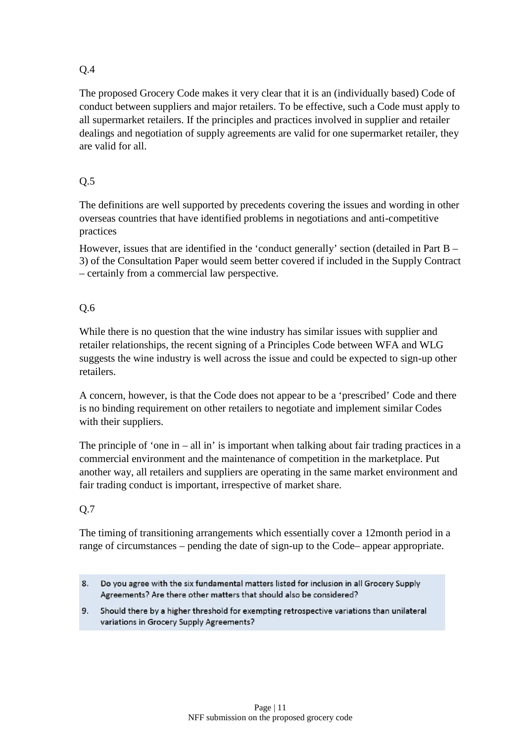The proposed Grocery Code makes it very clear that it is an (individually based) Code of conduct between suppliers and major retailers. To be effective, such a Code must apply to all supermarket retailers. If the principles and practices involved in supplier and retailer dealings and negotiation of supply agreements are valid for one supermarket retailer, they are valid for all.

# Q.5

The definitions are well supported by precedents covering the issues and wording in other overseas countries that have identified problems in negotiations and anti-competitive practices

However, issues that are identified in the 'conduct generally' section (detailed in Part B – 3) of the Consultation Paper would seem better covered if included in the Supply Contract – certainly from a commercial law perspective.

# Q.6

While there is no question that the wine industry has similar issues with supplier and retailer relationships, the recent signing of a Principles Code between WFA and WLG suggests the wine industry is well across the issue and could be expected to sign-up other retailers.

A concern, however, is that the Code does not appear to be a 'prescribed' Code and there is no binding requirement on other retailers to negotiate and implement similar Codes with their suppliers.

The principle of 'one in – all in' is important when talking about fair trading practices in a commercial environment and the maintenance of competition in the marketplace. Put another way, all retailers and suppliers are operating in the same market environment and fair trading conduct is important, irrespective of market share.

# Q.7

The timing of transitioning arrangements which essentially cover a 12month period in a range of circumstances – pending the date of sign-up to the Code– appear appropriate.

- 8. Do you agree with the six fundamental matters listed for inclusion in all Grocery Supply Agreements? Are there other matters that should also be considered?
- 9. Should there by a higher threshold for exempting retrospective variations than unilateral variations in Grocery Supply Agreements?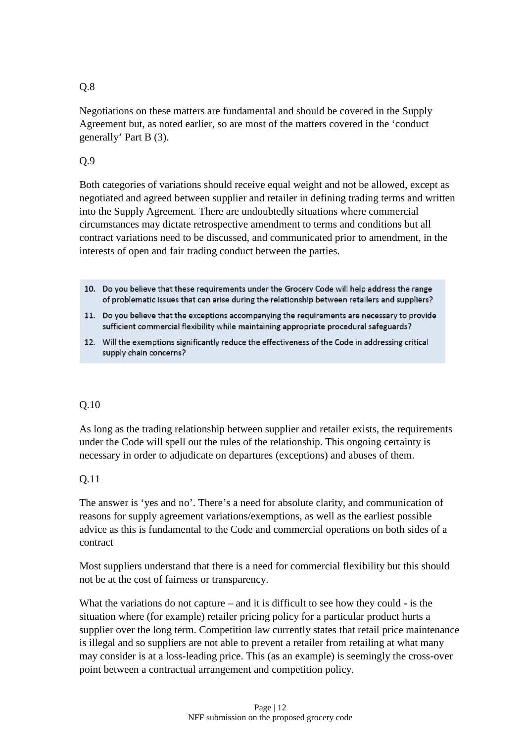Negotiations on these matters are fundamental and should be covered in the Supply Agreement but, as noted earlier, so are most of the matters covered in the 'conduct generally' Part B (3).

# Q.9

Both categories of variations should receive equal weight and not be allowed, except as negotiated and agreed between supplier and retailer in defining trading terms and written into the Supply Agreement. There are undoubtedly situations where commercial circumstances may dictate retrospective amendment to terms and conditions but all contract variations need to be discussed, and communicated prior to amendment, in the interests of open and fair trading conduct between the parties.

- 10. Do you believe that these requirements under the Grocery Code will help address the range of problematic issues that can arise during the relationship between retailers and suppliers?
- 11. Do you believe that the exceptions accompanying the requirements are necessary to provide sufficient commercial flexibility while maintaining appropriate procedural safeguards?
- 12. Will the exemptions significantly reduce the effectiveness of the Code in addressing critical supply chain concerns?

#### Q.10

As long as the trading relationship between supplier and retailer exists, the requirements under the Code will spell out the rules of the relationship. This ongoing certainty is necessary in order to adjudicate on departures (exceptions) and abuses of them.

#### Q.11

The answer is 'yes and no'. There's a need for absolute clarity, and communication of reasons for supply agreement variations/exemptions, as well as the earliest possible advice as this is fundamental to the Code and commercial operations on both sides of a contract

Most suppliers understand that there is a need for commercial flexibility but this should not be at the cost of fairness or transparency.

What the variations do not capture – and it is difficult to see how they could - is the situation where (for example) retailer pricing policy for a particular product hurts a supplier over the long term. Competition law currently states that retail price maintenance is illegal and so suppliers are not able to prevent a retailer from retailing at what many may consider is at a loss-leading price. This (as an example) is seemingly the cross-over point between a contractual arrangement and competition policy.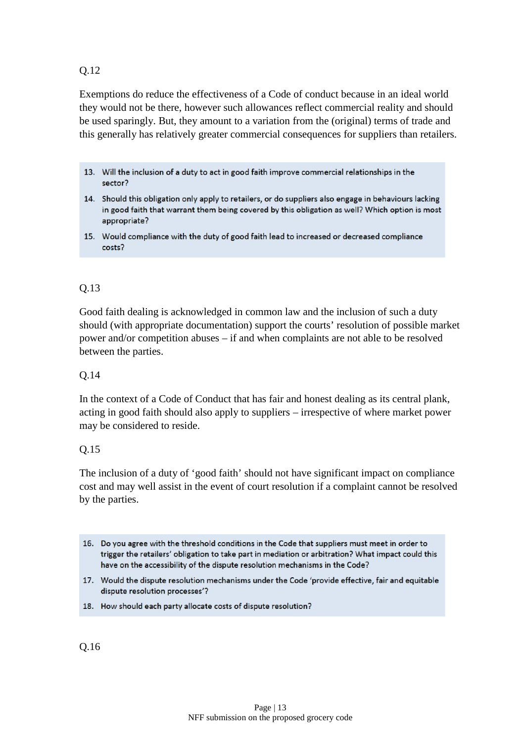Exemptions do reduce the effectiveness of a Code of conduct because in an ideal world they would not be there, however such allowances reflect commercial reality and should be used sparingly. But, they amount to a variation from the (original) terms of trade and this generally has relatively greater commercial consequences for suppliers than retailers.

- 13. Will the inclusion of a duty to act in good faith improve commercial relationships in the sector?
- 14. Should this obligation only apply to retailers, or do suppliers also engage in behaviours lacking in good faith that warrant them being covered by this obligation as well? Which option is most appropriate?
- 15. Would compliance with the duty of good faith lead to increased or decreased compliance costs?

# Q.13

Good faith dealing is acknowledged in common law and the inclusion of such a duty should (with appropriate documentation) support the courts' resolution of possible market power and/or competition abuses – if and when complaints are not able to be resolved between the parties.

#### Q.14

In the context of a Code of Conduct that has fair and honest dealing as its central plank, acting in good faith should also apply to suppliers – irrespective of where market power may be considered to reside.

#### Q.15

The inclusion of a duty of 'good faith' should not have significant impact on compliance cost and may well assist in the event of court resolution if a complaint cannot be resolved by the parties.

- 16. Do you agree with the threshold conditions in the Code that suppliers must meet in order to trigger the retailers' obligation to take part in mediation or arbitration? What impact could this have on the accessibility of the dispute resolution mechanisms in the Code?
- 17. Would the dispute resolution mechanisms under the Code 'provide effective, fair and equitable dispute resolution processes'?
- 18. How should each party allocate costs of dispute resolution?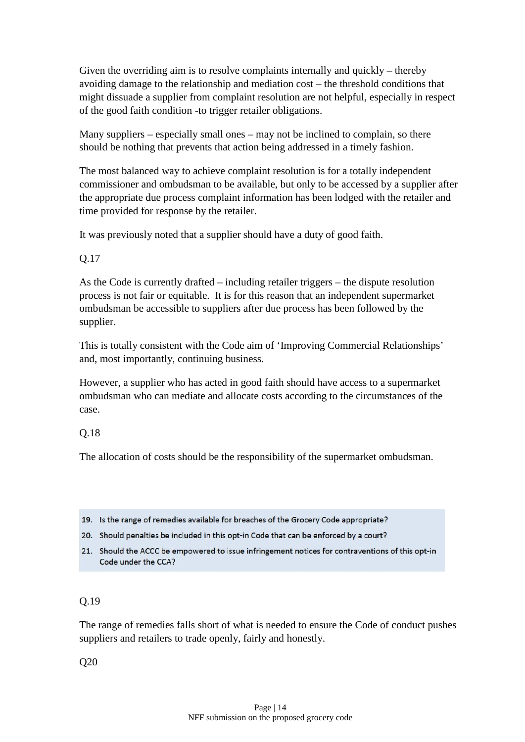Given the overriding aim is to resolve complaints internally and quickly – thereby avoiding damage to the relationship and mediation cost – the threshold conditions that might dissuade a supplier from complaint resolution are not helpful, especially in respect of the good faith condition -to trigger retailer obligations.

Many suppliers – especially small ones – may not be inclined to complain, so there should be nothing that prevents that action being addressed in a timely fashion.

The most balanced way to achieve complaint resolution is for a totally independent commissioner and ombudsman to be available, but only to be accessed by a supplier after the appropriate due process complaint information has been lodged with the retailer and time provided for response by the retailer.

It was previously noted that a supplier should have a duty of good faith.

### Q.17

As the Code is currently drafted – including retailer triggers – the dispute resolution process is not fair or equitable. It is for this reason that an independent supermarket ombudsman be accessible to suppliers after due process has been followed by the supplier.

This is totally consistent with the Code aim of 'Improving Commercial Relationships' and, most importantly, continuing business.

However, a supplier who has acted in good faith should have access to a supermarket ombudsman who can mediate and allocate costs according to the circumstances of the case.

#### Q.18

The allocation of costs should be the responsibility of the supermarket ombudsman.

- 19. Is the range of remedies available for breaches of the Grocery Code appropriate?
- 20. Should penalties be included in this opt-in Code that can be enforced by a court?
- 21. Should the ACCC be empowered to issue infringement notices for contraventions of this opt-in Code under the CCA?

#### Q.19

The range of remedies falls short of what is needed to ensure the Code of conduct pushes suppliers and retailers to trade openly, fairly and honestly.

Q20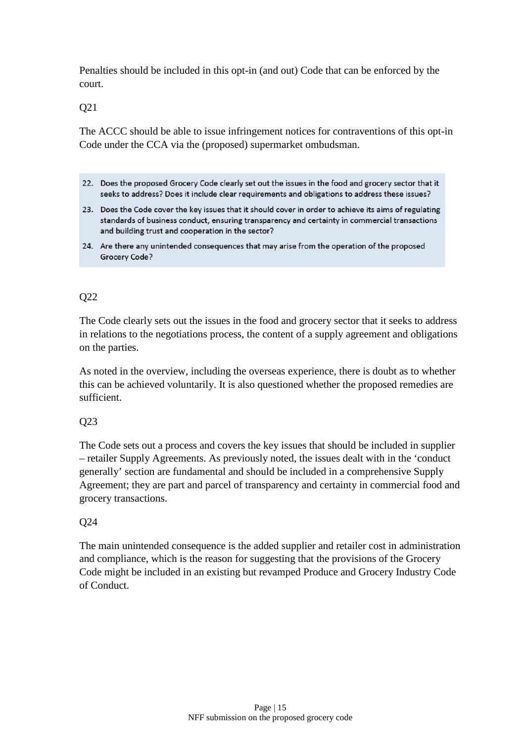Penalties should be included in this opt-in (and out) Code that can be enforced by the court.

Q21

The ACCC should be able to issue infringement notices for contraventions of this opt-in Code under the CCA via the (proposed) supermarket ombudsman.

- 22. Does the proposed Grocery Code clearly set out the issues in the food and grocery sector that it seeks to address? Does it include clear requirements and obligations to address these issues?
- 23. Does the Code cover the key issues that it should cover in order to achieve its aims of regulating standards of business conduct, ensuring transparency and certainty in commercial transactions and building trust and cooperation in the sector?
- 24. Are there any unintended consequences that may arise from the operation of the proposed **Grocery Code?**

### Q22

The Code clearly sets out the issues in the food and grocery sector that it seeks to address in relations to the negotiations process, the content of a supply agreement and obligations on the parties.

As noted in the overview, including the overseas experience, there is doubt as to whether this can be achieved voluntarily. It is also questioned whether the proposed remedies are sufficient.

#### Q23

The Code sets out a process and covers the key issues that should be included in supplier – retailer Supply Agreements. As previously noted, the issues dealt with in the 'conduct generally' section are fundamental and should be included in a comprehensive Supply Agreement; they are part and parcel of transparency and certainty in commercial food and grocery transactions.

# Q24

The main unintended consequence is the added supplier and retailer cost in administration and compliance, which is the reason for suggesting that the provisions of the Grocery Code might be included in an existing but revamped Produce and Grocery Industry Code of Conduct.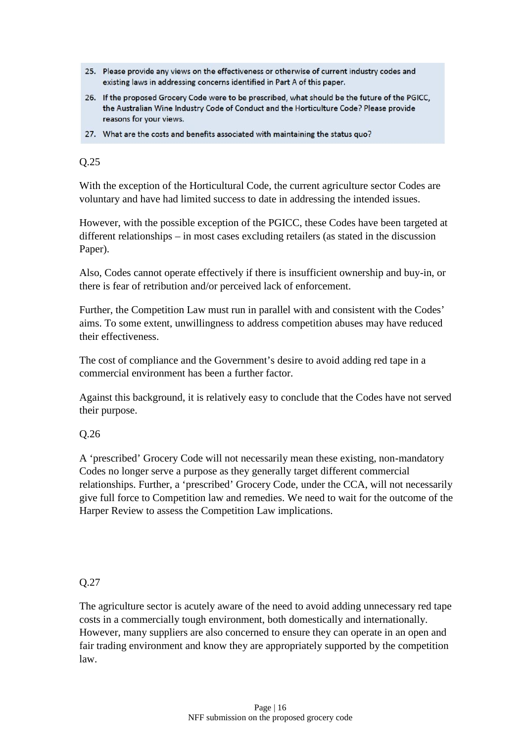- 25. Please provide any views on the effectiveness or otherwise of current industry codes and existing laws in addressing concerns identified in Part A of this paper.
- 26. If the proposed Grocery Code were to be prescribed, what should be the future of the PGICC, the Australian Wine Industry Code of Conduct and the Horticulture Code? Please provide reasons for your views.
- 27. What are the costs and benefits associated with maintaining the status quo?

With the exception of the Horticultural Code, the current agriculture sector Codes are voluntary and have had limited success to date in addressing the intended issues.

However, with the possible exception of the PGICC, these Codes have been targeted at different relationships – in most cases excluding retailers (as stated in the discussion Paper).

Also, Codes cannot operate effectively if there is insufficient ownership and buy-in, or there is fear of retribution and/or perceived lack of enforcement.

Further, the Competition Law must run in parallel with and consistent with the Codes' aims. To some extent, unwillingness to address competition abuses may have reduced their effectiveness.

The cost of compliance and the Government's desire to avoid adding red tape in a commercial environment has been a further factor.

Against this background, it is relatively easy to conclude that the Codes have not served their purpose.

# Q.26

A 'prescribed' Grocery Code will not necessarily mean these existing, non-mandatory Codes no longer serve a purpose as they generally target different commercial relationships. Further, a 'prescribed' Grocery Code, under the CCA, will not necessarily give full force to Competition law and remedies. We need to wait for the outcome of the Harper Review to assess the Competition Law implications.

#### Q.27

The agriculture sector is acutely aware of the need to avoid adding unnecessary red tape costs in a commercially tough environment, both domestically and internationally. However, many suppliers are also concerned to ensure they can operate in an open and fair trading environment and know they are appropriately supported by the competition law.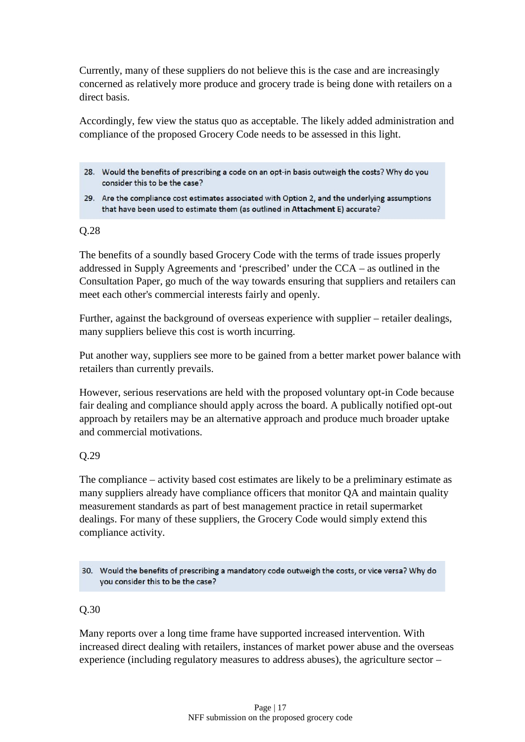Currently, many of these suppliers do not believe this is the case and are increasingly concerned as relatively more produce and grocery trade is being done with retailers on a direct basis.

Accordingly, few view the status quo as acceptable. The likely added administration and compliance of the proposed Grocery Code needs to be assessed in this light.

- 28. Would the benefits of prescribing a code on an opt-in basis outweigh the costs? Why do you consider this to be the case?
- 29. Are the compliance cost estimates associated with Option 2, and the underlying assumptions that have been used to estimate them (as outlined in Attachment E) accurate?

#### Q.28

The benefits of a soundly based Grocery Code with the terms of trade issues properly addressed in Supply Agreements and 'prescribed' under the CCA – as outlined in the Consultation Paper, go much of the way towards ensuring that suppliers and retailers can meet each other's commercial interests fairly and openly.

Further, against the background of overseas experience with supplier – retailer dealings, many suppliers believe this cost is worth incurring.

Put another way, suppliers see more to be gained from a better market power balance with retailers than currently prevails.

However, serious reservations are held with the proposed voluntary opt-in Code because fair dealing and compliance should apply across the board. A publically notified opt-out approach by retailers may be an alternative approach and produce much broader uptake and commercial motivations.

#### Q.29

The compliance – activity based cost estimates are likely to be a preliminary estimate as many suppliers already have compliance officers that monitor QA and maintain quality measurement standards as part of best management practice in retail supermarket dealings. For many of these suppliers, the Grocery Code would simply extend this compliance activity.

30. Would the benefits of prescribing a mandatory code outweigh the costs, or vice versa? Why do you consider this to be the case?

#### Q.30

Many reports over a long time frame have supported increased intervention. With increased direct dealing with retailers, instances of market power abuse and the overseas experience (including regulatory measures to address abuses), the agriculture sector –